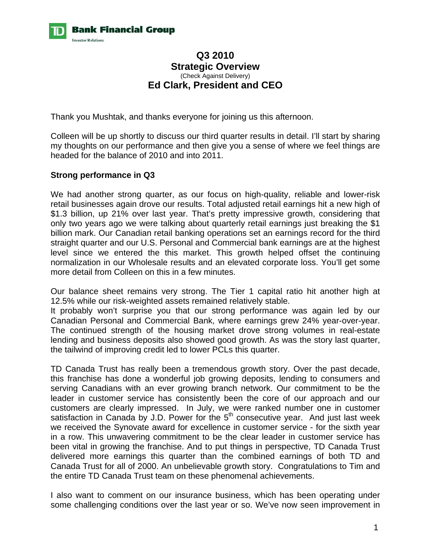

# **Q3 2010 Strategic Overview**  (Check Against Delivery) **Ed Clark, President and CEO**

Thank you Mushtak, and thanks everyone for joining us this afternoon.

Colleen will be up shortly to discuss our third quarter results in detail. I'll start by sharing my thoughts on our performance and then give you a sense of where we feel things are headed for the balance of 2010 and into 2011.

## **Strong performance in Q3**

We had another strong quarter, as our focus on high-quality, reliable and lower-risk retail businesses again drove our results. Total adjusted retail earnings hit a new high of \$1.3 billion, up 21% over last year. That's pretty impressive growth, considering that only two years ago we were talking about quarterly retail earnings just breaking the \$1 billion mark. Our Canadian retail banking operations set an earnings record for the third straight quarter and our U.S. Personal and Commercial bank earnings are at the highest level since we entered the this market. This growth helped offset the continuing normalization in our Wholesale results and an elevated corporate loss. You'll get some more detail from Colleen on this in a few minutes.

Our balance sheet remains very strong. The Tier 1 capital ratio hit another high at 12.5% while our risk-weighted assets remained relatively stable.

It probably won't surprise you that our strong performance was again led by our Canadian Personal and Commercial Bank, where earnings grew 24% year-over-year. The continued strength of the housing market drove strong volumes in real-estate lending and business deposits also showed good growth. As was the story last quarter, the tailwind of improving credit led to lower PCLs this quarter.

TD Canada Trust has really been a tremendous growth story. Over the past decade, this franchise has done a wonderful job growing deposits, lending to consumers and serving Canadians with an ever growing branch network. Our commitment to be the leader in customer service has consistently been the core of our approach and our customers are clearly impressed. In July, we were ranked number one in customer satisfaction in Canada by J.D. Power for the  $5<sup>th</sup>$  consecutive year. And just last week we received the Synovate award for excellence in customer service - for the sixth year in a row. This unwavering commitment to be the clear leader in customer service has been vital in growing the franchise. And to put things in perspective, TD Canada Trust delivered more earnings this quarter than the combined earnings of both TD and Canada Trust for all of 2000. An unbelievable growth story. Congratulations to Tim and the entire TD Canada Trust team on these phenomenal achievements.

I also want to comment on our insurance business, which has been operating under some challenging conditions over the last year or so. We've now seen improvement in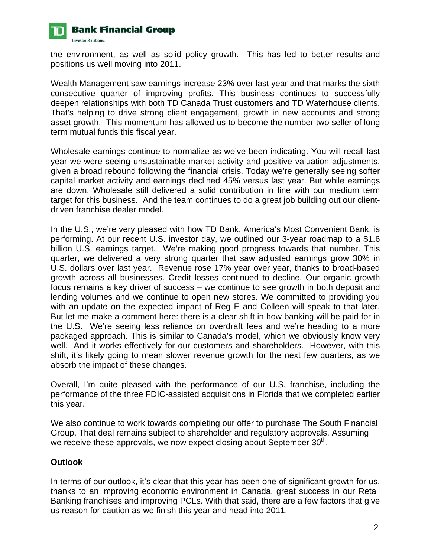

the environment, as well as solid policy growth. This has led to better results and positions us well moving into 2011.

Wealth Management saw earnings increase 23% over last year and that marks the sixth consecutive quarter of improving profits. This business continues to successfully deepen relationships with both TD Canada Trust customers and TD Waterhouse clients. That's helping to drive strong client engagement, growth in new accounts and strong asset growth. This momentum has allowed us to become the number two seller of long term mutual funds this fiscal year.

Wholesale earnings continue to normalize as we've been indicating. You will recall last year we were seeing unsustainable market activity and positive valuation adjustments, given a broad rebound following the financial crisis. Today we're generally seeing softer capital market activity and earnings declined 45% versus last year. But while earnings are down, Wholesale still delivered a solid contribution in line with our medium term target for this business. And the team continues to do a great job building out our clientdriven franchise dealer model.

In the U.S., we're very pleased with how TD Bank, America's Most Convenient Bank, is performing. At our recent U.S. investor day, we outlined our 3-year roadmap to a \$1.6 billion U.S. earnings target. We're making good progress towards that number. This quarter, we delivered a very strong quarter that saw adjusted earnings grow 30% in U.S. dollars over last year. Revenue rose 17% year over year, thanks to broad-based growth across all businesses. Credit losses continued to decline. Our organic growth focus remains a key driver of success – we continue to see growth in both deposit and lending volumes and we continue to open new stores. We committed to providing you with an update on the expected impact of Reg E and Colleen will speak to that later. But let me make a comment here: there is a clear shift in how banking will be paid for in the U.S. We're seeing less reliance on overdraft fees and we're heading to a more packaged approach. This is similar to Canada's model, which we obviously know very well. And it works effectively for our customers and shareholders. However, with this shift, it's likely going to mean slower revenue growth for the next few quarters, as we absorb the impact of these changes.

Overall, I'm quite pleased with the performance of our U.S. franchise, including the performance of the three FDIC-assisted acquisitions in Florida that we completed earlier this year.

We also continue to work towards completing our offer to purchase The South Financial Group. That deal remains subject to shareholder and regulatory approvals. Assuming we receive these approvals, we now expect closing about September  $30<sup>th</sup>$ .

## **Outlook**

In terms of our outlook, it's clear that this year has been one of significant growth for us, thanks to an improving economic environment in Canada, great success in our Retail Banking franchises and improving PCLs. With that said, there are a few factors that give us reason for caution as we finish this year and head into 2011.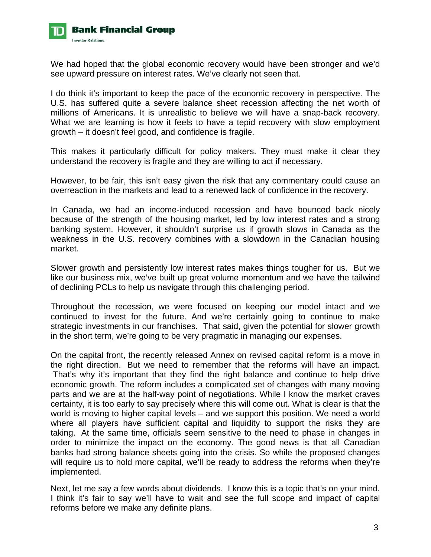

We had hoped that the global economic recovery would have been stronger and we'd see upward pressure on interest rates. We've clearly not seen that.

I do think it's important to keep the pace of the economic recovery in perspective. The U.S. has suffered quite a severe balance sheet recession affecting the net worth of millions of Americans. It is unrealistic to believe we will have a snap-back recovery. What we are learning is how it feels to have a tepid recovery with slow employment growth – it doesn't feel good, and confidence is fragile.

This makes it particularly difficult for policy makers. They must make it clear they understand the recovery is fragile and they are willing to act if necessary.

However, to be fair, this isn't easy given the risk that any commentary could cause an overreaction in the markets and lead to a renewed lack of confidence in the recovery.

In Canada, we had an income-induced recession and have bounced back nicely because of the strength of the housing market, led by low interest rates and a strong banking system. However, it shouldn't surprise us if growth slows in Canada as the weakness in the U.S. recovery combines with a slowdown in the Canadian housing market.

Slower growth and persistently low interest rates makes things tougher for us. But we like our business mix, we've built up great volume momentum and we have the tailwind of declining PCLs to help us navigate through this challenging period.

Throughout the recession, we were focused on keeping our model intact and we continued to invest for the future. And we're certainly going to continue to make strategic investments in our franchises. That said, given the potential for slower growth in the short term, we're going to be very pragmatic in managing our expenses.

On the capital front, the recently released Annex on revised capital reform is a move in the right direction. But we need to remember that the reforms will have an impact. That's why it's important that they find the right balance and continue to help drive economic growth. The reform includes a complicated set of changes with many moving parts and we are at the half-way point of negotiations. While I know the market craves certainty, it is too early to say precisely where this will come out. What is clear is that the world is moving to higher capital levels – and we support this position. We need a world where all players have sufficient capital and liquidity to support the risks they are taking. At the same time, officials seem sensitive to the need to phase in changes in order to minimize the impact on the economy. The good news is that all Canadian banks had strong balance sheets going into the crisis. So while the proposed changes will require us to hold more capital, we'll be ready to address the reforms when they're implemented.

Next, let me say a few words about dividends. I know this is a topic that's on your mind. I think it's fair to say we'll have to wait and see the full scope and impact of capital reforms before we make any definite plans.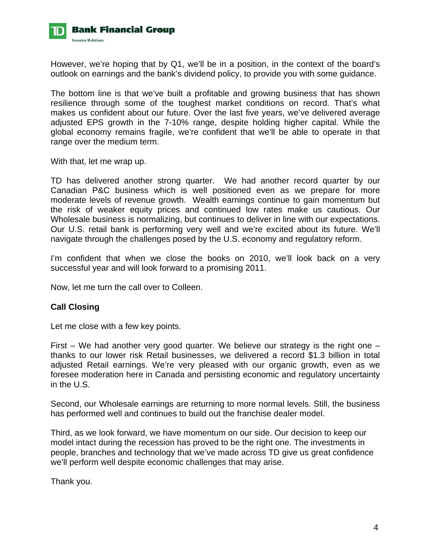

However, we're hoping that by Q1, we'll be in a position, in the context of the board's outlook on earnings and the bank's dividend policy, to provide you with some guidance.

The bottom line is that we've built a profitable and growing business that has shown resilience through some of the toughest market conditions on record. That's what makes us confident about our future. Over the last five years, we've delivered average adjusted EPS growth in the 7-10% range, despite holding higher capital. While the global economy remains fragile, we're confident that we'll be able to operate in that range over the medium term.

With that, let me wrap up.

TD has delivered another strong quarter. We had another record quarter by our Canadian P&C business which is well positioned even as we prepare for more moderate levels of revenue growth. Wealth earnings continue to gain momentum but the risk of weaker equity prices and continued low rates make us cautious. Our Wholesale business is normalizing, but continues to deliver in line with our expectations. Our U.S. retail bank is performing very well and we're excited about its future. We'll navigate through the challenges posed by the U.S. economy and regulatory reform.

I'm confident that when we close the books on 2010, we'll look back on a very successful year and will look forward to a promising 2011.

Now, let me turn the call over to Colleen.

## **Call Closing**

Let me close with a few key points.

First – We had another very good quarter. We believe our strategy is the right one – thanks to our lower risk Retail businesses, we delivered a record \$1.3 billion in total adjusted Retail earnings. We're very pleased with our organic growth, even as we foresee moderation here in Canada and persisting economic and regulatory uncertainty in the U.S.

Second, our Wholesale earnings are returning to more normal levels. Still, the business has performed well and continues to build out the franchise dealer model.

Third, as we look forward, we have momentum on our side. Our decision to keep our model intact during the recession has proved to be the right one. The investments in people, branches and technology that we've made across TD give us great confidence we'll perform well despite economic challenges that may arise.

Thank you.